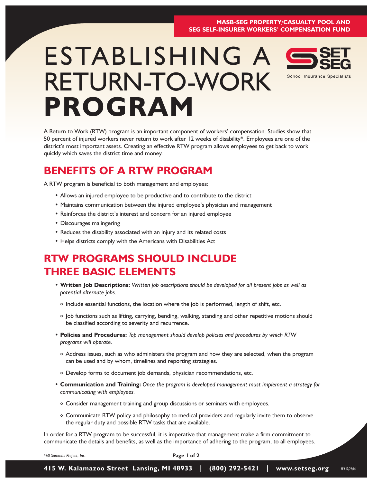#### **MASB-SEG PROPERTY/CASUALTY POOL AND SEG SELF-INSURER WORKERS' COMPENSATION FUND**

# ESTABLISHING A RETURN-TO-WORK **PROGRAM**



A Return to Work (RTW) program is an important component of workers' compensation. Studies show that 50 percent of injured workers never return to work after 12 weeks of disability\*. Employees are one of the district's most important assets. Creating an effective RTW program allows employees to get back to work quickly which saves the district time and money.

#### **BENEFITS OF A RTW PROGRAM**

A RTW program is beneficial to both management and employees:

- Allows an injured employee to be productive and to contribute to the district
- Maintains communication between the injured employee's physician and management
- Reinforces the district's interest and concern for an injured employee
- Discourages malingering
- Reduces the disability associated with an injury and its related costs
- Helps districts comply with the Americans with Disabilities Act

## **RTW PROGRAMS SHOULD INCLUDE THREE BASIC ELEMENTS**

- **Written Job Descriptions:** *Written job descriptions should be developed for all present jobs as well as potential alternate jobs.*
	- o Include essential functions, the location where the job is performed, length of shift, etc.
	- o Job functions such as lifting, carrying, bending, walking, standing and other repetitive motions should be classified according to severity and recurrence.
- **Policies and Procedures:** *Top management should develop policies and procedures by which RTW programs will operate.* 
	- o Address issues, such as who administers the program and how they are selected, when the program can be used and by whom, timelines and reporting strategies.
	- o Develop forms to document job demands, physician recommendations, etc.
- **Communication and Training:** *Once the program is developed management must implement a strategy for communicating with employees.*
	- o Consider management training and group discussions or seminars with employees.
	- o Communicate RTW policy and philosophy to medical providers and regularly invite them to observe the regular duty and possible RTW tasks that are available.

In order for a RTW program to be successful, it is imperative that management make a firm commitment to communicate the details and benefits, as well as the importance of adhering to the program, to all employees.

**Page 1 of 2**